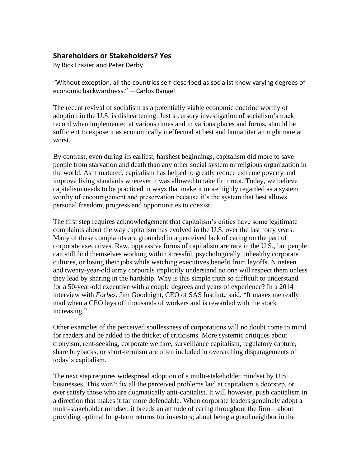## **Shareholders or Stakeholders? Yes**

By Rick Frazier and Peter Derby

"Without exception, all the countries self-described as socialist know varying degrees of economic backwardness." —Carlos Rangel

The recent revival of socialism as a potentially viable economic doctrine worthy of adoption in the U.S. is disheartening. Just a cursory investigation of socialism's track record when implemented at various times and in various places and forms, should be sufficient to expose it as economically ineffectual at best and humanitarian nightmare at worst.

By contrast, even during its earliest, harshest beginnings, capitalism did more to save people from starvation and death than any other social system or religious organization in the world. As it matured, capitalism has helped to greatly reduce extreme poverty and improve living standards wherever it was allowed to take firm root. Today, we believe capitalism needs to be practiced in ways that make it more highly regarded as a system worthy of encouragement and preservation because it's the system that best allows personal freedom, progress and opportunities to coexist.

The first step requires acknowledgement that capitalism's critics have some legitimate complaints about the way capitalism has evolved in the U.S. over the last forty years. Many of these complaints are grounded in a perceived lack of caring on the part of corporate executives. Raw, oppressive forms of capitalism are rare in the U.S., but people can still find themselves working within stressful, psychologically unhealthy corporate cultures, or losing their jobs while watching executives benefit from layoffs. Nineteen and twenty-year-old army corporals implicitly understand no one will respect them unless they lead by sharing in the hardship. Why is this simple truth so difficult to understand for a 50-year-old executive with a couple degrees and years of experience? In a 2014 interview with *Forbes*, Jim Goodnight, CEO of SAS Institute said, "It makes me really mad when a CEO lays off thousands of workers and is rewarded with the stock increasing."

Other examples of the perceived soullessness of corporations will no doubt come to mind for readers and be added to the thicket of criticisms. More systemic critiques about cronyism, rent-seeking, corporate welfare, surveillance capitalism, regulatory capture, share buybacks, or short-termism are often included in overarching disparagements of today's capitalism.

The next step requires widespread adoption of a multi-stakeholder mindset by U.S. businesses. This won't fix all the perceived problems laid at capitalism's doorstep, or ever satisfy those who are dogmatically anti-capitalist. It will however, push capitalism in a direction that makes it far more defendable. When corporate leaders genuinely adopt a multi-stakeholder mindset, it breeds an attitude of caring throughout the firm—about providing optimal long-term returns for investors; about being a good neighbor in the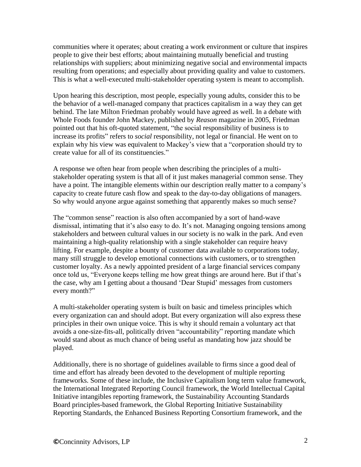communities where it operates; about creating a work environment or culture that inspires people to give their best efforts; about maintaining mutually beneficial and trusting relationships with suppliers; about minimizing negative social and environmental impacts resulting from operations; and especially about providing quality and value to customers. This is what a well-executed multi-stakeholder operating system is meant to accomplish.

Upon hearing this description, most people, especially young adults, consider this to be the behavior of a well-managed company that practices capitalism in a way they can get behind. The late Milton Friedman probably would have agreed as well. In a debate with Whole Foods founder John Mackey, published by *Reason* magazine in 2005, Friedman pointed out that his oft-quoted statement, "the social responsibility of business is to increase its profits" refers to *social* responsibility, not legal or financial. He went on to explain why his view was equivalent to Mackey's view that a "corporation should try to create value for all of its constituencies."

A response we often hear from people when describing the principles of a multistakeholder operating system is that all of it just makes managerial common sense. They have a point. The intangible elements within our description really matter to a company's capacity to create future cash flow and speak to the day-to-day obligations of managers. So why would anyone argue against something that apparently makes so much sense?

The "common sense" reaction is also often accompanied by a sort of hand-wave dismissal, intimating that it's also easy to do. It's not. Managing ongoing tensions among stakeholders and between cultural values in our society is no walk in the park. And even maintaining a high-quality relationship with a single stakeholder can require heavy lifting. For example, despite a bounty of customer data available to corporations today, many still struggle to develop emotional connections with customers, or to strengthen customer loyalty. As a newly appointed president of a large financial services company once told us, "Everyone keeps telling me how great things are around here. But if that's the case, why am I getting about a thousand 'Dear Stupid' messages from customers every month?"

A multi-stakeholder operating system is built on basic and timeless principles which every organization can and should adopt. But every organization will also express these principles in their own unique voice. This is why it should remain a voluntary act that avoids a one-size-fits-all, politically driven "accountability" reporting mandate which would stand about as much chance of being useful as mandating how jazz should be played.

Additionally, there is no shortage of guidelines available to firms since a good deal of time and effort has already been devoted to the development of multiple reporting frameworks. Some of these include, the Inclusive Capitalism long term value framework, the International Integrated Reporting Council framework, the World Intellectual Capital Initiative intangibles reporting framework, the Sustainability Accounting Standards Board principles-based framework, the Global Reporting Initiative Sustainability Reporting Standards, the Enhanced Business Reporting Consortium framework, and the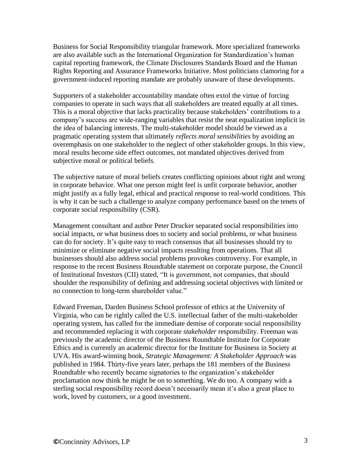Business for Social Responsibility triangular framework. More specialized frameworks are also available such as the International Organization for Standardization's human capital reporting framework, the Climate Disclosures Standards Board and the Human Rights Reporting and Assurance Frameworks Initiative. Most politicians clamoring for a government-induced reporting mandate are probably unaware of these developments.

Supporters of a stakeholder accountability mandate often extol the virtue of forcing companies to operate in such ways that all stakeholders are treated equally at all times. This is a moral objective that lacks practicality because stakeholders' contributions to a company's success are wide-ranging variables that resist the neat equalization implicit in the idea of balancing interests. The multi-stakeholder model should be viewed as a pragmatic operating system that ultimately *reflects moral sensibilities* by avoiding an overemphasis on one stakeholder to the neglect of other stakeholder groups. In this view, moral results become side effect outcomes, not mandated objectives derived from subjective moral or political beliefs.

The subjective nature of moral beliefs creates conflicting opinions about right and wrong in corporate behavior. What one person might feel is unfit corporate behavior, another might justify as a fully legal, ethical and practical response to real-world conditions. This is why it can be such a challenge to analyze company performance based on the tenets of corporate social responsibility (CSR).

Management consultant and author Peter Drucker separated social responsibilities into social impacts, or what business does to society and social problems, or what business can do for society. It's quite easy to reach consensus that all businesses should try to minimize or eliminate negative social impacts resulting from operations. That all businesses should also address social problems provokes controversy. For example, in response to the recent Business Roundtable statement on corporate purpose, the Council of Institutional Investors (CII) stated, "It is government, not companies, that should shoulder the responsibility of defining and addressing societal objectives with limited or no connection to long-term shareholder value."

Edward Freeman, Darden Business School professor of ethics at the University of Virginia, who can be rightly called the U.S. intellectual father of the multi-stakeholder operating system, has called for the immediate demise of corporate social responsibility and recommended replacing it with corporate *stakeholder* responsibility. Freeman was previously the academic director of the Business Roundtable Institute for Corporate Ethics and is currently an academic director for the Institute for Business in Society at UVA. His award-winning book, *Strategic Management: A Stakeholder Approach* was published in 1984. Thirty-five years later, perhaps the 181 members of the Business Roundtable who recently became signatories to the organization's stakeholder proclamation now think he might be on to something. We do too. A company with a sterling social responsibility record doesn't necessarily mean it's also a great place to work, loved by customers, or a good investment.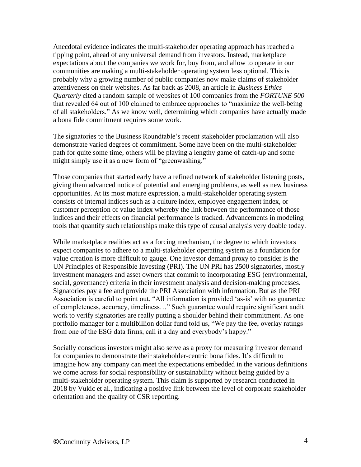Anecdotal evidence indicates the multi-stakeholder operating approach has reached a tipping point, ahead of any universal demand from investors. Instead, marketplace expectations about the companies we work for, buy from, and allow to operate in our communities are making a multi-stakeholder operating system less optional. This is probably why a growing number of public companies now make claims of stakeholder attentiveness on their websites. As far back as 2008, an article in *Business Ethics Quarterly* cited a random sample of websites of 100 companies from the *FORTUNE 500* that revealed 64 out of 100 claimed to embrace approaches to "maximize the well-being of all stakeholders." As we know well, determining which companies have actually made a bona fide commitment requires some work.

The signatories to the Business Roundtable's recent stakeholder proclamation will also demonstrate varied degrees of commitment. Some have been on the multi-stakeholder path for quite some time, others will be playing a lengthy game of catch-up and some might simply use it as a new form of "greenwashing."

Those companies that started early have a refined network of stakeholder listening posts, giving them advanced notice of potential and emerging problems, as well as new business opportunities. At its most mature expression, a multi-stakeholder operating system consists of internal indices such as a culture index, employee engagement index, or customer perception of value index whereby the link between the performance of those indices and their effects on financial performance is tracked. Advancements in modeling tools that quantify such relationships make this type of causal analysis very doable today.

While marketplace realities act as a forcing mechanism, the degree to which investors expect companies to adhere to a multi-stakeholder operating system as a foundation for value creation is more difficult to gauge. One investor demand proxy to consider is the UN Principles of Responsible Investing (PRI). The UN PRI has 2500 signatories, mostly investment managers and asset owners that commit to incorporating ESG (environmental, social, governance) criteria in their investment analysis and decision-making processes. Signatories pay a fee and provide the PRI Association with information. But as the PRI Association is careful to point out, "All information is provided 'as-is' with no guarantee of completeness, accuracy, timeliness…" Such guarantee would require significant audit work to verify signatories are really putting a shoulder behind their commitment. As one portfolio manager for a multibillion dollar fund told us, "We pay the fee, overlay ratings from one of the ESG data firms, call it a day and everybody's happy."

Socially conscious investors might also serve as a proxy for measuring investor demand for companies to demonstrate their stakeholder-centric bona fides. It's difficult to imagine how any company can meet the expectations embedded in the various definitions we come across for social responsibility or sustainability without being guided by a multi-stakeholder operating system. This claim is supported by research conducted in 2018 by Vukic et al., indicating a positive link between the level of corporate stakeholder orientation and the quality of CSR reporting.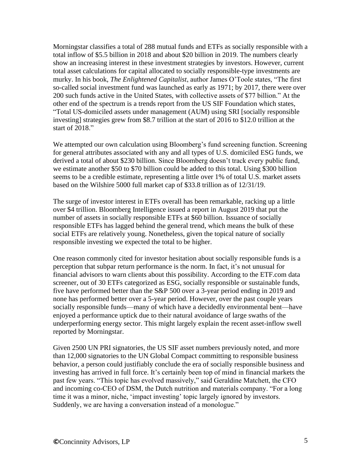Morningstar classifies a total of 288 mutual funds and ETFs as socially responsible with a total inflow of \$5.5 billion in 2018 and about \$20 billion in 2019. The numbers clearly show an increasing interest in these investment strategies by investors. However, current total asset calculations for capital allocated to socially responsible-type investments are murky. In his book, *The Enlightened Capitalist*, author James O'Toole states, "The first so-called social investment fund was launched as early as 1971; by 2017, there were over 200 such funds active in the United States, with collective assets of \$77 billion." At the other end of the spectrum is a trends report from the US SIF Foundation which states, "Total US-domiciled assets under management (AUM) using SRI [socially responsible investing] strategies grew from \$8.7 trillion at the start of 2016 to \$12.0 trillion at the start of 2018."

We attempted our own calculation using Bloomberg's fund screening function. Screening for general attributes associated with any and all types of U.S. domiciled ESG funds, we derived a total of about \$230 billion. Since Bloomberg doesn't track every public fund, we estimate another \$50 to \$70 billion could be added to this total. Using \$300 billion seems to be a credible estimate, representing a little over 1% of total U.S. market assets based on the Wilshire 5000 full market cap of \$33.8 trillion as of 12/31/19.

The surge of investor interest in ETFs overall has been remarkable, racking up a little over \$4 trillion. Bloomberg Intelligence issued a report in August 2019 that put the number of assets in socially responsible ETFs at \$60 billion. Issuance of socially responsible ETFs has lagged behind the general trend, which means the bulk of these social ETFs are relatively young. Nonetheless, given the topical nature of socially responsible investing we expected the total to be higher.

One reason commonly cited for investor hesitation about socially responsible funds is a perception that subpar return performance is the norm. In fact, it's not unusual for financial advisors to warn clients about this possibility. According to the ETF.com data screener, out of 30 ETFs categorized as ESG, socially responsible or sustainable funds, five have performed better than the S&P 500 over a 3-year period ending in 2019 and none has performed better over a 5-year period. However, over the past couple years socially responsible funds—many of which have a decidedly environmental bent—have enjoyed a performance uptick due to their natural avoidance of large swaths of the underperforming energy sector. This might largely explain the recent asset-inflow swell reported by Morningstar.

Given 2500 UN PRI signatories, the US SIF asset numbers previously noted, and more than 12,000 signatories to the UN Global Compact committing to responsible business behavior, a person could justifiably conclude the era of socially responsible business and investing has arrived in full force. It's certainly been top of mind in financial markets the past few years. "This topic has evolved massively," said Geraldine Matchett, the CFO and incoming co-CEO of DSM, the Dutch nutrition and materials company. "For a long time it was a minor, niche, 'impact investing' topic largely ignored by investors. Suddenly, we are having a conversation instead of a monologue."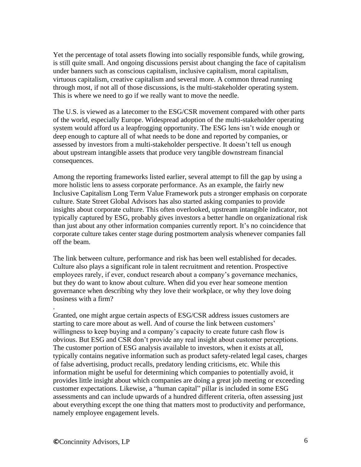Yet the percentage of total assets flowing into socially responsible funds, while growing, is still quite small. And ongoing discussions persist about changing the face of capitalism under banners such as conscious capitalism, inclusive capitalism, moral capitalism, virtuous capitalism, creative capitalism and several more. A common thread running through most, if not all of those discussions, is the multi-stakeholder operating system. This is where we need to go if we really want to move the needle.

The U.S. is viewed as a latecomer to the ESG/CSR movement compared with other parts of the world, especially Europe. Widespread adoption of the multi-stakeholder operating system would afford us a leapfrogging opportunity. The ESG lens isn't wide enough or deep enough to capture all of what needs to be done and reported by companies, or assessed by investors from a multi-stakeholder perspective. It doesn't tell us enough about upstream intangible assets that produce very tangible downstream financial consequences.

Among the reporting frameworks listed earlier, several attempt to fill the gap by using a more holistic lens to assess corporate performance. As an example, the fairly new Inclusive Capitalism Long Term Value Framework puts a stronger emphasis on corporate culture. State Street Global Advisors has also started asking companies to provide insights about corporate culture. This often overlooked, upstream intangible indicator, not typically captured by ESG, probably gives investors a better handle on organizational risk than just about any other information companies currently report. It's no coincidence that corporate culture takes center stage during postmortem analysis whenever companies fall off the beam.

The link between culture, performance and risk has been well established for decades. Culture also plays a significant role in talent recruitment and retention. Prospective employees rarely, if ever, conduct research about a company's governance mechanics, but they do want to know about culture. When did you ever hear someone mention governance when describing why they love their workplace, or why they love doing business with a firm?

Granted, one might argue certain aspects of ESG/CSR address issues customers are starting to care more about as well. And of course the link between customers' willingness to keep buying and a company's capacity to create future cash flow is obvious. But ESG and CSR don't provide any real insight about customer perceptions. The customer portion of ESG analysis available to investors, when it exists at all, typically contains negative information such as product safety-related legal cases, charges of false advertising, product recalls, predatory lending criticisms, etc. While this information might be useful for determining which companies to potentially avoid, it provides little insight about which companies are doing a great job meeting or exceeding customer expectations. Likewise, a "human capital" pillar is included in some ESG assessments and can include upwards of a hundred different criteria, often assessing just about everything except the one thing that matters most to productivity and performance, namely employee engagement levels.

.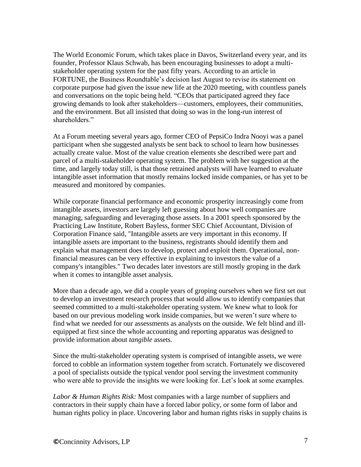The World Economic Forum, which takes place in Davos, Switzerland every year, and its founder, Professor Klaus Schwab, has been encouraging businesses to adopt a multistakeholder operating system for the past fifty years. According to an article in FORTUNE, the Business Roundtable's decision last August to revise its statement on corporate purpose had given the issue new life at the 2020 meeting, with countless panels and conversations on the topic being held. "CEOs that participated agreed they face growing demands to look after stakeholders—customers, employees, their communities, and the environment. But all insisted that doing so was in the long-run interest of shareholders."

At a Forum meeting several years ago, former CEO of PepsiCo Indra Nooyi was a panel participant when she suggested analysts be sent back to school to learn how businesses actually create value. Most of the value creation elements she described were part and parcel of a multi-stakeholder operating system. The problem with her suggestion at the time, and largely today still, is that those retrained analysts will have learned to evaluate intangible asset information that mostly remains locked inside companies, or has yet to be measured and monitored by companies.

While corporate financial performance and economic prosperity increasingly come from intangible assets, investors are largely left guessing about how well companies are managing, safeguarding and leveraging those assets. In a 2001 speech sponsored by the Practicing Law Institute, Robert Bayless, former SEC Chief Accountant, Division of Corporation Finance said, "Intangible assets are very important in this economy. If intangible assets are important to the business, registrants should identify them and explain what management does to develop, protect and exploit them. Operational, nonfinancial measures can be very effective in explaining to investors the value of a company's intangibles." Two decades later investors are still mostly groping in the dark when it comes to intangible asset analysis.

More than a decade ago, we did a couple years of groping ourselves when we first set out to develop an investment research process that would allow us to identify companies that seemed committed to a multi-stakeholder operating system. We knew what to look for based on our previous modeling work inside companies, but we weren't sure where to find what we needed for our assessments as analysts on the outside. We felt blind and illequipped at first since the whole accounting and reporting apparatus was designed to provide information about *tangible* assets.

Since the multi-stakeholder operating system is comprised of intangible assets, we were forced to cobble an information system together from scratch. Fortunately we discovered a pool of specialists outside the typical vendor pool serving the investment community who were able to provide the insights we were looking for. Let's look at some examples.

*Labor & Human Rights Risk:* Most companies with a large number of suppliers and contractors in their supply chain have a forced labor policy, or some form of labor and human rights policy in place. Uncovering labor and human rights risks in supply chains is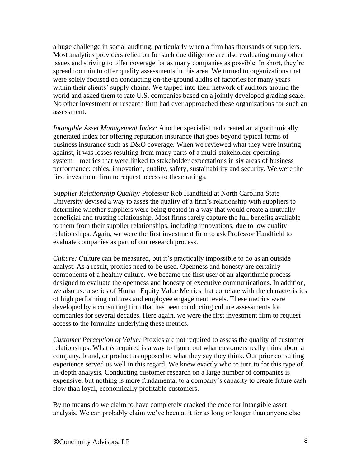a huge challenge in social auditing, particularly when a firm has thousands of suppliers. Most analytics providers relied on for such due diligence are also evaluating many other issues and striving to offer coverage for as many companies as possible. In short, they're spread too thin to offer quality assessments in this area. We turned to organizations that were solely focused on conducting on-the-ground audits of factories for many years within their clients' supply chains. We tapped into their network of auditors around the world and asked them to rate U.S. companies based on a jointly developed grading scale. No other investment or research firm had ever approached these organizations for such an assessment.

*Intangible Asset Management Index:* Another specialist had created an algorithmically generated index for offering reputation insurance that goes beyond typical forms of business insurance such as D&O coverage. When we reviewed what they were insuring against, it was losses resulting from many parts of a multi-stakeholder operating system—metrics that were linked to stakeholder expectations in six areas of business performance: ethics, innovation, quality, safety, sustainability and security. We were the first investment firm to request access to these ratings.

Su*pplier Relationship Quality:* Professor Rob Handfield at North Carolina State University devised a way to asses the quality of a firm's relationship with suppliers to determine whether suppliers were being treated in a way that would create a mutually beneficial and trusting relationship. Most firms rarely capture the full benefits available to them from their supplier relationships, including innovations, due to low quality relationships. Again, we were the first investment firm to ask Professor Handfield to evaluate companies as part of our research process.

*Culture:* Culture can be measured, but it's practically impossible to do as an outside analyst. As a result, proxies need to be used. Openness and honesty are certainly components of a healthy culture. We became the first user of an algorithmic process designed to evaluate the openness and honesty of executive communications. In addition, we also use a series of Human Equity Value Metrics that correlate with the characteristics of high performing cultures and employee engagement levels. These metrics were developed by a consulting firm that has been conducting culture assessments for companies for several decades. Here again, we were the first investment firm to request access to the formulas underlying these metrics.

*Customer Perception of Value:* Proxies are not required to assess the quality of customer relationships. What *is* required is a way to figure out what customers really think about a company, brand, or product as opposed to what they say they think. Our prior consulting experience served us well in this regard. We knew exactly who to turn to for this type of in-depth analysis. Conducting customer research on a large number of companies is expensive, but nothing is more fundamental to a company's capacity to create future cash flow than loyal, economically profitable customers.

By no means do we claim to have completely cracked the code for intangible asset analysis. We can probably claim we've been at it for as long or longer than anyone else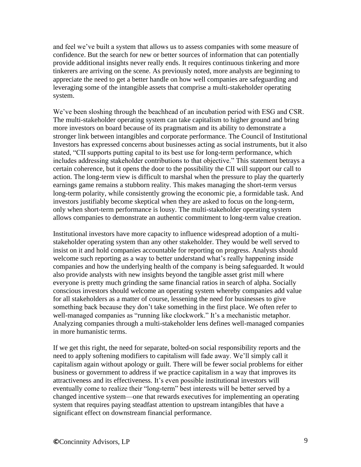and feel we've built a system that allows us to assess companies with some measure of confidence. But the search for new or better sources of information that can potentially provide additional insights never really ends. It requires continuous tinkering and more tinkerers are arriving on the scene. As previously noted, more analysts are beginning to appreciate the need to get a better handle on how well companies are safeguarding and leveraging some of the intangible assets that comprise a multi-stakeholder operating system.

We've been sloshing through the beachhead of an incubation period with ESG and CSR. The multi-stakeholder operating system can take capitalism to higher ground and bring more investors on board because of its pragmatism and its ability to demonstrate a stronger link between intangibles and corporate performance. The Council of Institutional Investors has expressed concerns about businesses acting as social instruments, but it also stated, "CII supports putting capital to its best use for long-term performance, which includes addressing stakeholder contributions to that objective." This statement betrays a certain coherence, but it opens the door to the possibility the CII will support our call to action. The long-term view is difficult to marshal when the pressure to play the quarterly earnings game remains a stubborn reality. This makes managing the short-term versus long-term polarity, while consistently growing the economic pie, a formidable task. And investors justifiably become skeptical when they are asked to focus on the long-term, only when short-term performance is lousy. The multi-stakeholder operating system allows companies to demonstrate an authentic commitment to long-term value creation.

Institutional investors have more capacity to influence widespread adoption of a multistakeholder operating system than any other stakeholder. They would be well served to insist on it and hold companies accountable for reporting on progress. Analysts should welcome such reporting as a way to better understand what's really happening inside companies and how the underlying health of the company is being safeguarded. It would also provide analysts with new insights beyond the tangible asset grist mill where everyone is pretty much grinding the same financial ratios in search of alpha. Socially conscious investors should welcome an operating system whereby companies add value for all stakeholders as a matter of course, lessening the need for businesses to give something back because they don't take something in the first place. We often refer to well-managed companies as "running like clockwork." It's a mechanistic metaphor. Analyzing companies through a multi-stakeholder lens defines well-managed companies in more humanistic terms.

If we get this right, the need for separate, bolted-on social responsibility reports and the need to apply softening modifiers to capitalism will fade away. We'll simply call it capitalism again without apology or guilt. There will be fewer social problems for either business or government to address if we practice capitalism in a way that improves its attractiveness and its effectiveness. It's even possible institutional investors will eventually come to realize their "long-term" best interests will be better served by a changed incentive system—one that rewards executives for implementing an operating system that requires paying steadfast attention to upstream intangibles that have a significant effect on downstream financial performance.